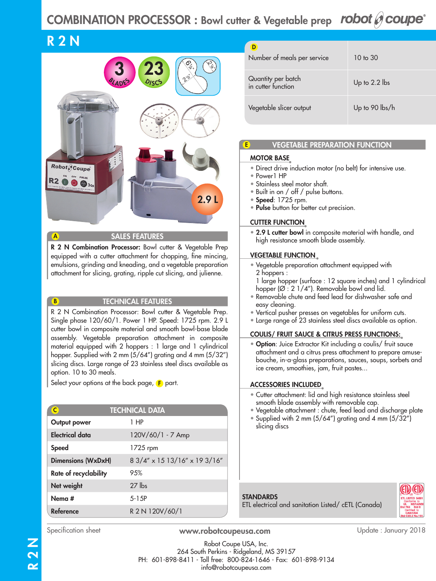# COMBINATION PROCESSOR : Bowl cutter & Vegetable prep robot  $\mathscr O$  coupe<sup>®</sup>

# R 2 N

A

B



SALES FEATURES

R 2 N Combination Processor: Bowl cutter & Vegetable Prep equipped with a cutter attachment for chopping, fine mincing, emulsions, grinding and kneading, and a vegetable preparation attachment for slicing, grating, ripple cut slicing, and julienne.

#### TECHNICAL FEATURES

R 2 N Combination Processor: Bowl cutter & Vegetable Prep. Single phase 120/60/1. Power 1 HP. Speed: 1725 rpm. 2.9 L cutter bowl in composite material and smooth bowl-base blade assembly. Vegetable preparation attachment in composite material equipped with 2 hoppers : 1 large and 1 cylindrical hopper. Supplied with 2 mm (5/64'') grating and 4 mm (5/32'') slicing discs. Large range of 23 stainless steel discs available as option. 10 to 30 meals.

Select your options at the back page,  $\mathsf F$  part.

| <b>TECHNICAL DATA</b><br>$\overline{c}$ |                               |  |
|-----------------------------------------|-------------------------------|--|
| Output power                            | 1 HP                          |  |
| <b>Electrical data</b>                  | 120V/60/1 - 7 Amp             |  |
| Speed                                   | $1725$ rpm                    |  |
| <b>Dimensions (WxDxH)</b>               | 8 3/4" x 15 13/16" x 19 3/16" |  |
| Rate of recyclability                   | 9.5%                          |  |
| Net weight                              | $27$ lbs                      |  |
| Nema #                                  | $5 - 1.5P$                    |  |
| <b>Reference</b>                        | R 2 N 120V/60/1               |  |

| Number of meals per service              | $10 \text{ to } 30$ |
|------------------------------------------|---------------------|
| Quantity per batch<br>in cutter function | Up to $2.2$ lbs     |
| Vegetable slicer output                  | Up to 90 lbs/h      |

## VEGETABLE PREPARATION FUNCTION

#### MOTOR BASE

E

- Direct drive induction motor (no belt) for intensive use.
- Power1 HP
- Stainless steel motor shaft.
- Built in on / off / pulse buttons.
- Speed: 1725 rpm.
- Pulse button for better cut precision.

### CUTTER FUNCTION

• 2.9 L cutter bowl in composite material with handle, and high resistance smooth blade assembly.

#### VEGETABLE FUNCTION

- Vegetable preparation attachment equipped with 2 hoppers :
- 1 large hopper (surface : 12 square inches) and 1 cylindrical hopper  $(\emptyset : 2 \frac{1}{4})$ . Removable bowl and lid.
- Removable chute and feed lead for dishwasher safe and easy cleaning.
- Vertical pusher presses on vegetables for uniform cuts.
- Large range of 23 stainless steel discs available as option.

#### COULIS/ FRUIT SAUCE & CITRUS PRESS FUNCTIONS:

• Option: Juice Extractor Kit including a coulis/ fruit sauce attachment and a citrus press attachment to prepare amusebouche, in-a-glass preparations, sauces, soups, sorbets and ice cream, smoothies, jam, fruit pastes...

## ACCESSORIES INCLUDED

- Cutter attachment: lid and high resistance stainless steel smooth blade assembly with removable cap.
- Vegetable attachment : chute, feed lead and discharge plate
- Supplied with 2 mm (5/64'') grating and 4 mm (5/32'') slicing discs

#### **STANDARDS** ETL electrical and sanitation Listed/ cETL (Canada)



www.robotcoupeusa.com Specification sheet Update : January 2018

Robot Coupe USA, Inc. 264 South Perkins - Ridgeland, MS 39157 PH: 601-898-8411 - Toll free: 800-824-1646 - Fax: 601-898-9134 info@robotcoupeusa.com